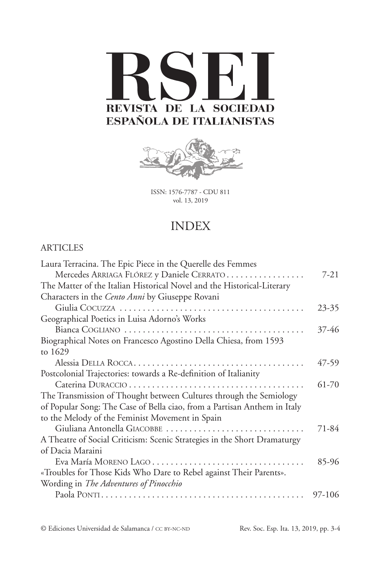



ISSN: 1576-7787 - CDU 811 vol. 13, 2019

## INDEX

## [ARTICL](#page-0-0)ES

| Laura Terracina. The Epic Piece in the Querelle des Femmes               |           |
|--------------------------------------------------------------------------|-----------|
| Mercedes ARRIAGA FLÓREZ y Daniele CERRATO                                | $7-21$    |
| The Matter of the Italian Historical Novel and the Historical-Literary   |           |
| Characters in the Cento Anni by Giuseppe Rovani                          |           |
|                                                                          | $23 - 35$ |
| Geographical Poetics in Luisa Adorno's Works                             |           |
|                                                                          | 37-46     |
| Biographical Notes on Francesco Agostino Della Chiesa, from 1593         |           |
| to 1629                                                                  |           |
|                                                                          | 47-59     |
| Postcolonial Trajectories: towards a Re-definition of Italianity         |           |
|                                                                          | 61-70     |
| The Transmission of Thought between Cultures through the Semiology       |           |
| of Popular Song: The Case of Bella ciao, from a Partisan Anthem in Italy |           |
| to the Melody of the Feminist Movement in Spain                          |           |
| Giuliana Antonella GIACOBBE                                              | 71-84     |
| A Theatre of Social Criticism: Scenic Strategies in the Short Dramaturgy |           |
| of Dacia Maraini                                                         |           |
|                                                                          | 85-96     |
| «Troubles for Those Kids Who Dare to Rebel against Their Parents».       |           |
| Wording in The Adventures of Pinocchio                                   |           |
|                                                                          | 97-106    |
|                                                                          |           |

<span id="page-0-0"></span>© Ediciones Universidad de Salamanca / cc by-nc-nd Rev. Soc. Esp. Ita. 13, 2019, pp. 3-4